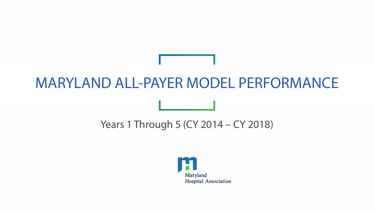## MARYLAND ALL-PAYER MODEL PERFORMANCE

### Years 1 Through 5 (CY 2014 – CY 2018)

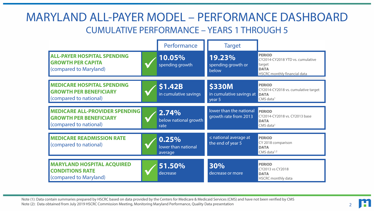#### MARYLAND ALL-PAYER MODEL – PERFORMANCE DASHBOARD CUMULATIVE PERFORMANCE – YEARS 1 THROUGH 5

|                                                                                                  | Performance                             | <b>Target</b>                                       |                                                                                                                   |
|--------------------------------------------------------------------------------------------------|-----------------------------------------|-----------------------------------------------------|-------------------------------------------------------------------------------------------------------------------|
| <b>ALL-PAYER HOSPITAL SPENDING</b><br><b>GROWTH PER CAPITA</b><br>(compared to Maryland)         | 10.05%<br>spending growth               | 19.23%<br>spending growth or<br>below               | <b>PERIOD</b><br>CY2014-CY2018 YTD vs. cumulative<br>target<br><b>DATA</b><br><b>HSCRC</b> monthly financial data |
| <b>MEDICARE HOSPITAL SPENDING</b><br><b>GROWTH PER BENEFICIARY</b><br>(compared to national)     | <b>\$1.42B</b><br>in cumulative savings | <b>\$330M</b><br>in cumulative savings at<br>year 5 | <b>PERIOD</b><br>CY2014-CY2018 vs. cumulative target<br><b>DATA</b><br>CMS data <sup>1</sup>                      |
| <b>MEDICARE ALL-PROVIDER SPENDING</b><br><b>GROWTH PER BENEFICIARY</b><br>(compared to national) | 2.74%<br>below national growth<br>rate  | lower than the national<br>growth rate from 2013    | <b>PERIOD</b><br>CY2014-CY2018 vs. CY2013 base<br><b>DATA</b><br>$CMS$ data <sup>1</sup>                          |
| <b>MEDICARE READMISSION RATE</b><br>(compared to national)                                       | 0.25%<br>lower than national<br>average | $\leq$ national average at<br>the end of year 5     | <b>PERIOD</b><br>CY 2018 comparison<br><b>DATA</b><br>CMS data $1,2$                                              |
| <b>MARYLAND HOSPITAL ACQUIRED</b><br><b>CONDITIONS RATE</b><br>(compared to Maryland)            | 51.50%<br>decrease                      | 30%<br>decrease or more                             | <b>PERIOD</b><br>CY2013 vs CY2018<br><b>DATA</b><br><b>HSCRC</b> monthly data                                     |

Note (1): Data contain summaries prepared by HSCRC based on data provided by the Centers for Medicare & Medicaid Services (CMS) and have not been verified by CMS Note (2): Data obtained from July 2019 HSCRC Commission Meeting, Monitoring Maryland Performance, Quality Data presentation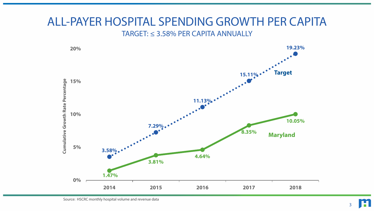#### ALL-PAYER HOSPITAL SPENDING GROWTH PER CAPITA TARGET: ≤ 3.58% PER CAPITA ANNUALLY



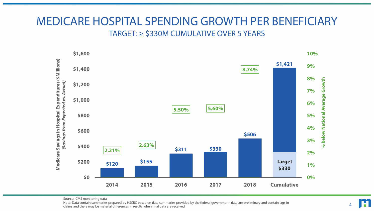#### MEDICARE HOSPITAL SPENDING GROWTH PER BENEFICIARY TARGET: ≥ \$330M CUMULATIVE OVER 5 YEARS



Source: CMS monitoring data

Note: Data contain summaries prepared by HSCRC based on data summaries provided by the federal government; data are preliminary and contain lags in claims and there may be material differences in results when final data are received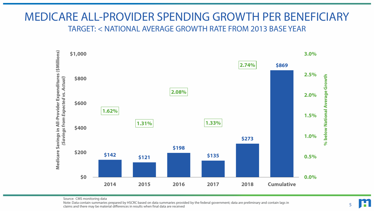#### MEDICARE ALL-PROVIDER SPENDING GROWTH PER BENEFICIARY TARGET: < NATIONAL AVERAGE GROWTH RATE FROM 2013 BASE YEAR



Source: CMS monitoring data

Note: Data contain summaries prepared by HSCRC based on data summaries provided by the federal government; data are preliminary and contain lags in claims and there may be material differences in results when final data are received

5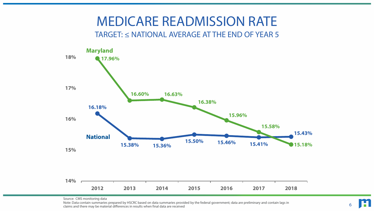# MEDICARE READMISSION RATE

#### TARGET: ≤ NATIONAL AVERAGE AT THE END OF YEAR 5



Source: CMS monitoring data

Note: Data contain summaries prepared by HSCRC based on data summaries provided by the federal government; data are preliminary and contain lags in claims and there may be material differences in results when final data are received